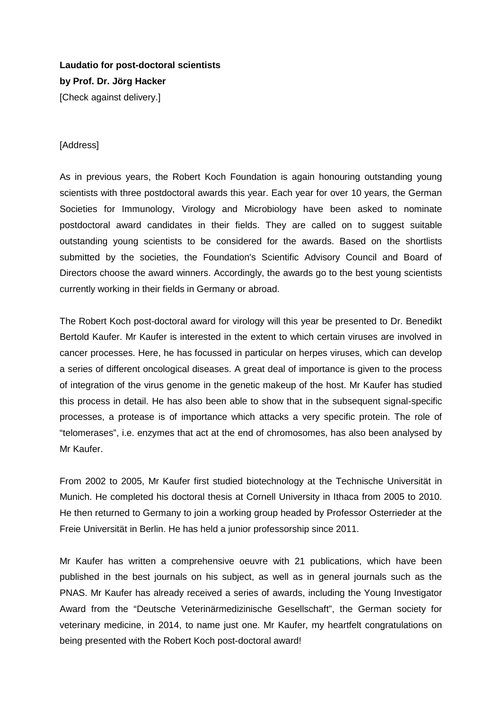**Laudatio for post-doctoral scientists by Prof. Dr. Jörg Hacker** [Check against delivery.]

## [Address]

As in previous years, the Robert Koch Foundation is again honouring outstanding young scientists with three postdoctoral awards this year. Each year for over 10 years, the German Societies for Immunology, Virology and Microbiology have been asked to nominate postdoctoral award candidates in their fields. They are called on to suggest suitable outstanding young scientists to be considered for the awards. Based on the shortlists submitted by the societies, the Foundation's Scientific Advisory Council and Board of Directors choose the award winners. Accordingly, the awards go to the best young scientists currently working in their fields in Germany or abroad.

The Robert Koch post-doctoral award for virology will this year be presented to Dr. Benedikt Bertold Kaufer. Mr Kaufer is interested in the extent to which certain viruses are involved in cancer processes. Here, he has focussed in particular on herpes viruses, which can develop a series of different oncological diseases. A great deal of importance is given to the process of integration of the virus genome in the genetic makeup of the host. Mr Kaufer has studied this process in detail. He has also been able to show that in the subsequent signal-specific processes, a protease is of importance which attacks a very specific protein. The role of "telomerases", i.e. enzymes that act at the end of chromosomes, has also been analysed by Mr Kaufer.

From 2002 to 2005, Mr Kaufer first studied biotechnology at the Technische Universität in Munich. He completed his doctoral thesis at Cornell University in Ithaca from 2005 to 2010. He then returned to Germany to join a working group headed by Professor Osterrieder at the Freie Universität in Berlin. He has held a junior professorship since 2011.

Mr Kaufer has written a comprehensive oeuvre with 21 publications, which have been published in the best journals on his subject, as well as in general journals such as the PNAS. Mr Kaufer has already received a series of awards, including the Young Investigator Award from the "Deutsche Veterinärmedizinische Gesellschaft", the German society for veterinary medicine, in 2014, to name just one. Mr Kaufer, my heartfelt congratulations on being presented with the Robert Koch post-doctoral award!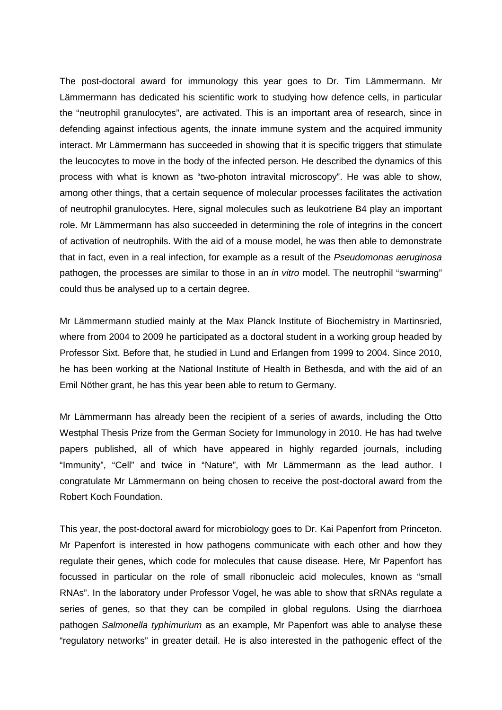The post-doctoral award for immunology this year goes to Dr. Tim Lämmermann. Mr Lämmermann has dedicated his scientific work to studying how defence cells, in particular the "neutrophil granulocytes", are activated. This is an important area of research, since in defending against infectious agents, the innate immune system and the acquired immunity interact. Mr Lämmermann has succeeded in showing that it is specific triggers that stimulate the leucocytes to move in the body of the infected person. He described the dynamics of this process with what is known as "two-photon intravital microscopy". He was able to show, among other things, that a certain sequence of molecular processes facilitates the activation of neutrophil granulocytes. Here, signal molecules such as leukotriene B4 play an important role. Mr Lämmermann has also succeeded in determining the role of integrins in the concert of activation of neutrophils. With the aid of a mouse model, he was then able to demonstrate that in fact, even in a real infection, for example as a result of the *Pseudomonas aeruginosa* pathogen, the processes are similar to those in an *in vitro* model. The neutrophil "swarming" could thus be analysed up to a certain degree.

Mr Lämmermann studied mainly at the Max Planck Institute of Biochemistry in Martinsried, where from 2004 to 2009 he participated as a doctoral student in a working group headed by Professor Sixt. Before that, he studied in Lund and Erlangen from 1999 to 2004. Since 2010, he has been working at the National Institute of Health in Bethesda, and with the aid of an Emil Nöther grant, he has this year been able to return to Germany.

Mr Lämmermann has already been the recipient of a series of awards, including the Otto Westphal Thesis Prize from the German Society for Immunology in 2010. He has had twelve papers published, all of which have appeared in highly regarded journals, including "Immunity", "Cell" and twice in "Nature", with Mr Lämmermann as the lead author. I congratulate Mr Lämmermann on being chosen to receive the post-doctoral award from the Robert Koch Foundation.

This year, the post-doctoral award for microbiology goes to Dr. Kai Papenfort from Princeton. Mr Papenfort is interested in how pathogens communicate with each other and how they regulate their genes, which code for molecules that cause disease. Here, Mr Papenfort has focussed in particular on the role of small ribonucleic acid molecules, known as "small RNAs". In the laboratory under Professor Vogel, he was able to show that sRNAs regulate a series of genes, so that they can be compiled in global regulons. Using the diarrhoea pathogen *Salmonella typhimurium* as an example, Mr Papenfort was able to analyse these "regulatory networks" in greater detail. He is also interested in the pathogenic effect of the